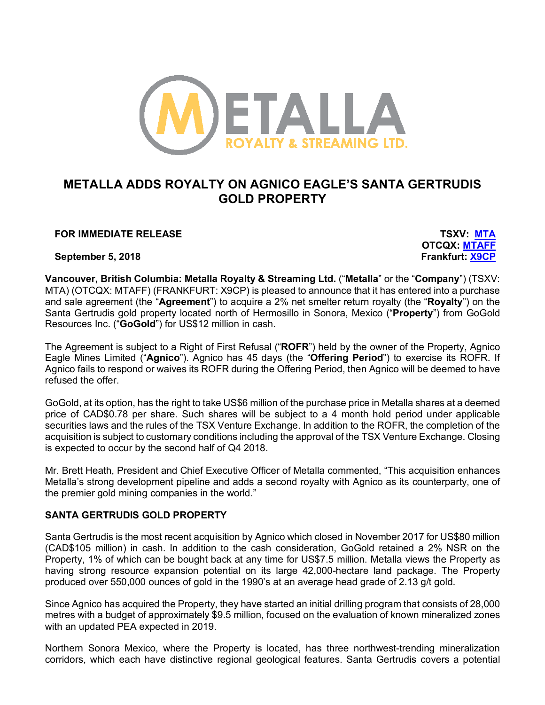

# **METALLA ADDS ROYALTY ON AGNICO EAGLE'S SANTA GERTRUDIS GOLD PROPERTY**

# **FOR IMMEDIATE RELEASE TSXV: MTA**

**September 5, 2018 Frankfurt: X9CP**

**OTCQX: MTAFF**

**Vancouver, British Columbia: Metalla Royalty & Streaming Ltd.** ("**Metalla**" or the "**Company**") (TSXV: MTA) (OTCQX: MTAFF) (FRANKFURT: X9CP) is pleased to announce that it has entered into a purchase and sale agreement (the "**Agreement**") to acquire a 2% net smelter return royalty (the "**Royalty**") on the Santa Gertrudis gold property located north of Hermosillo in Sonora, Mexico ("**Property**") from GoGold Resources Inc. ("**GoGold**") for US\$12 million in cash.

The Agreement is subject to a Right of First Refusal ("**ROFR**") held by the owner of the Property, Agnico Eagle Mines Limited ("**Agnico**"). Agnico has 45 days (the "**Offering Period**") to exercise its ROFR. If Agnico fails to respond or waives its ROFR during the Offering Period, then Agnico will be deemed to have refused the offer.

GoGold, at its option, has the right to take US\$6 million of the purchase price in Metalla shares at a deemed price of CAD\$0.78 per share. Such shares will be subject to a 4 month hold period under applicable securities laws and the rules of the TSX Venture Exchange. In addition to the ROFR, the completion of the acquisition is subject to customary conditions including the approval of the TSX Venture Exchange. Closing is expected to occur by the second half of Q4 2018.

Mr. Brett Heath, President and Chief Executive Officer of Metalla commented, "This acquisition enhances Metalla's strong development pipeline and adds a second royalty with Agnico as its counterparty, one of the premier gold mining companies in the world."

# **SANTA GERTRUDIS GOLD PROPERTY**

Santa Gertrudis is the most recent acquisition by Agnico which closed in November 2017 for US\$80 million (CAD\$105 million) in cash. In addition to the cash consideration, GoGold retained a 2% NSR on the Property, 1% of which can be bought back at any time for US\$7.5 million. Metalla views the Property as having strong resource expansion potential on its large 42,000-hectare land package. The Property produced over 550,000 ounces of gold in the 1990's at an average head grade of 2.13 g/t gold.

Since Agnico has acquired the Property, they have started an initial drilling program that consists of 28,000 metres with a budget of approximately \$9.5 million, focused on the evaluation of known mineralized zones with an updated PEA expected in 2019.

Northern Sonora Mexico, where the Property is located, has three northwest-trending mineralization corridors, which each have distinctive regional geological features. Santa Gertrudis covers a potential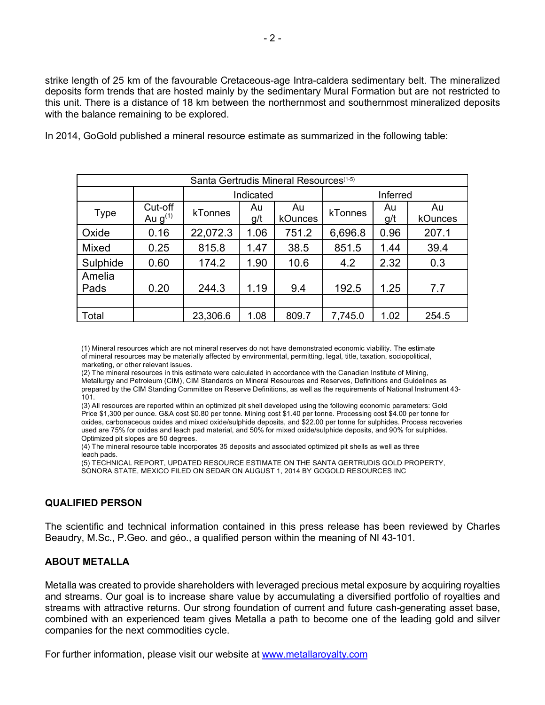strike length of 25 km of the favourable Cretaceous-age Intra-caldera sedimentary belt. The mineralized deposits form trends that are hosted mainly by the sedimentary Mural Formation but are not restricted to this unit. There is a distance of 18 km between the northernmost and southernmost mineralized deposits with the balance remaining to be explored.

| Santa Gertrudis Mineral Resources <sup>(1-5)</sup> |                         |           |           |               |          |           |               |
|----------------------------------------------------|-------------------------|-----------|-----------|---------------|----------|-----------|---------------|
|                                                    |                         | Indicated |           |               | Inferred |           |               |
| <b>Type</b>                                        | Cut-off<br>Au $g^{(1)}$ | kTonnes   | Au<br>g/t | Au<br>kOunces | kTonnes  | Au<br>g/t | Au<br>kOunces |
| Oxide                                              | 0.16                    | 22,072.3  | 1.06      | 751.2         | 6,696.8  | 0.96      | 207.1         |
| <b>Mixed</b>                                       | 0.25                    | 815.8     | 1.47      | 38.5          | 851.5    | 1.44      | 39.4          |
| Sulphide                                           | 0.60                    | 174.2     | 1.90      | 10.6          | 4.2      | 2.32      | 0.3           |
| Amelia<br>Pads                                     | 0.20                    | 244.3     | 1.19      | 9.4           | 192.5    | 1.25      | 7.7           |
|                                                    |                         |           |           |               |          |           |               |
| Total                                              |                         | 23,306.6  | 1.08      | 809.7         | 7,745.0  | 1.02      | 254.5         |

In 2014, GoGold published a mineral resource estimate as summarized in the following table:

(1) Mineral resources which are not mineral reserves do not have demonstrated economic viability. The estimate of mineral resources may be materially affected by environmental, permitting, legal, title, taxation, sociopolitical, marketing, or other relevant issues.

(2) The mineral resources in this estimate were calculated in accordance with the Canadian Institute of Mining, Metallurgy and Petroleum (CIM), CIM Standards on Mineral Resources and Reserves, Definitions and Guidelines as prepared by the CIM Standing Committee on Reserve Definitions, as well as the requirements of National Instrument 43- 101.

(3) All resources are reported within an optimized pit shell developed using the following economic parameters: Gold Price \$1,300 per ounce. G&A cost \$0.80 per tonne. Mining cost \$1.40 per tonne. Processing cost \$4.00 per tonne for oxides, carbonaceous oxides and mixed oxide/sulphide deposits, and \$22.00 per tonne for sulphides. Process recoveries used are 75% for oxides and leach pad material, and 50% for mixed oxide/sulphide deposits, and 90% for sulphides. Optimized pit slopes are 50 degrees.

(4) The mineral resource table incorporates 35 deposits and associated optimized pit shells as well as three leach pads.

(5) TECHNICAL REPORT, UPDATED RESOURCE ESTIMATE ON THE SANTA GERTRUDIS GOLD PROPERTY, SONORA STATE, MEXICO FILED ON SEDAR ON AUGUST 1, 2014 BY GOGOLD RESOURCES INC

# **QUALIFIED PERSON**

The scientific and technical information contained in this press release has been reviewed by Charles Beaudry, M.Sc., P.Geo. and géo., a qualified person within the meaning of NI 43-101.

## **ABOUT METALLA**

Metalla was created to provide shareholders with leveraged precious metal exposure by acquiring royalties and streams. Our goal is to increase share value by accumulating a diversified portfolio of royalties and streams with attractive returns. Our strong foundation of current and future cash-generating asset base, combined with an experienced team gives Metalla a path to become one of the leading gold and silver companies for the next commodities cycle.

For further information, please visit our website at www.metallaroyalty.com